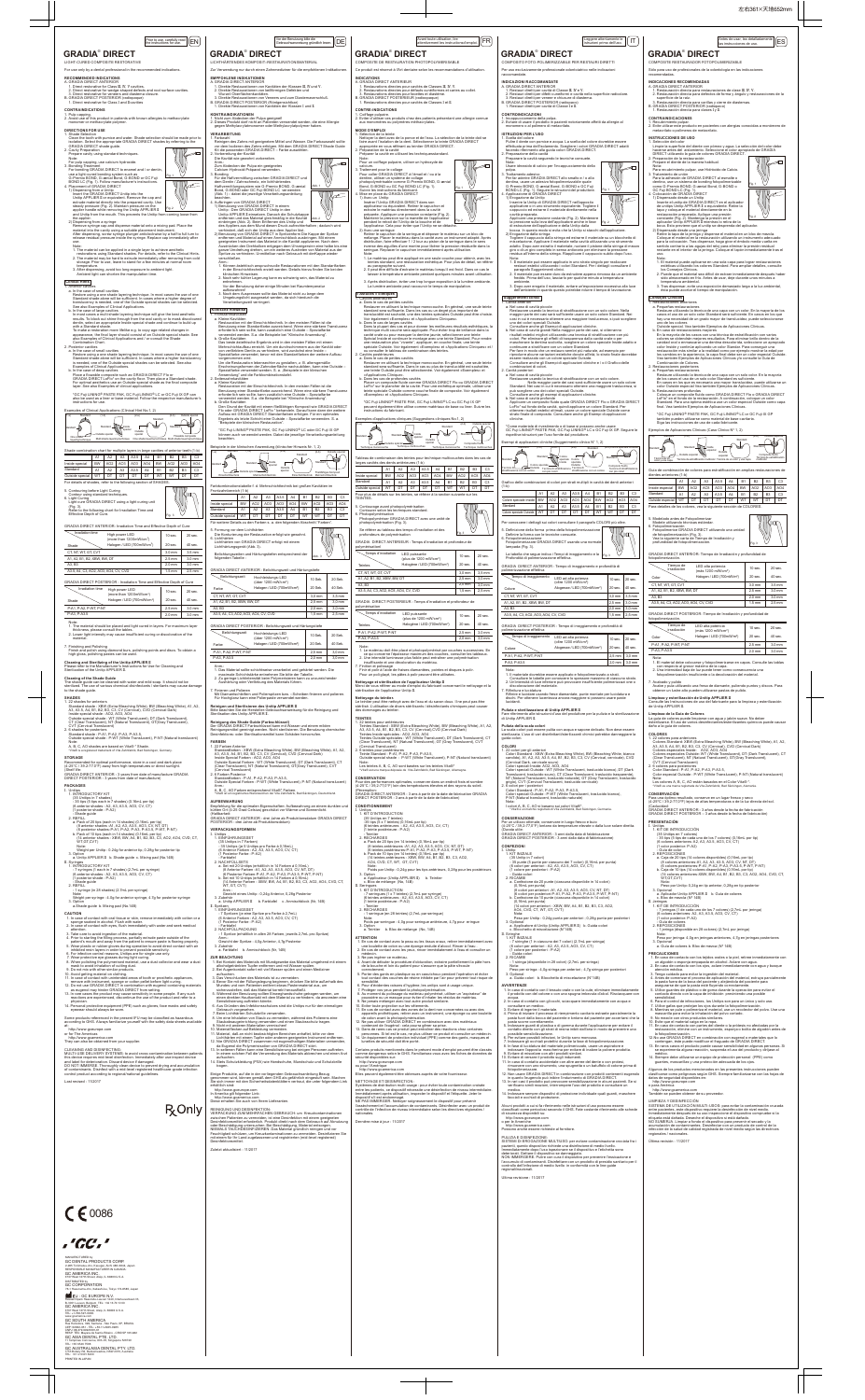LIGHT-CURED COMPOSITE RESTORATIVE

For use only by a dental professional in the recommended indications.

2. Direct restorative for wedge-shaped defects and root surface cavities.<br>3. Direct restorative for veneers and diastema closure.<br>B. GRADIA DIRECT POSTERIOR (radiopaque)<br>1. Direct restorative for Class I and II cavities

**CONTRAINDICATIONS**

1. Pulp capping. 2. Avoid use of this product in patients with known allergies to methacrylate monomer or methacrylate polymer.

Clean the tooth with pumice and water. Shade selection should be made prior to<br>isolation. Select the appropriate GRADIA DIRECT shades by referring to the<br>GRADIA DIRECT shade guide.

applier handle while removing the Unitip APPLIER II  $\frac{F_{19.2}}{F_{19.2}}$ 

**DIRECTIONS FOR USE** 1. Shade Selection

2. Cavity Preparation Prepare cavity using standard techniques. Note:

 For pulp capping, use calcium hydroxide. 3. Bonding Treatment For bonding GRADIA DIRECT to enamel and / or dentin, use a light-cured bonding system such as G-Premio BOND, G-aenial Bond, G-BOND or GC Fuji BOND LC (Fig. 1). Follow manufacturer's instructions.

1) Dispensing from a Unitip<br>
Unisert the GRADIA DIRECT Unitip into the<br>
Unitip APPLIER II or equivalent. Remove the cap and<br>
extrude material directly into the prepared cavity.<br>
steady pressure (Fig. 2). Maintain pressure

4. Placement of GRADIA DIRECT

emperature

2. Posterior cavities a. In the case of small cavities Restore using a one shade layering technique. In most cases the use of one Standard shade alone will be sufficient. In cases where a higher translucency is needed, one of the Outside special shades can be selected. See also Examples of Clinical Applications. b. In the case of deep cavities Place a flowable composite such as GRADIA DIRECT Flo or<br>GRADIA DIRECT LoFlo\* on the cavity floor. Then place a Standard shade.<br>For optimal aesthetics use an Outside special shade as the final composite

 Note: 1. The material can be applied in a single layer to achieve aesthetic restorations using Standard shades. For details, refer to the Clinical Hints. 2. The material may be hard to extrude immediately after removing from cold storage. Prior to use, leave to stand for a few minutes at normal room

Restore using a one shade layering technique. In most cases the use of one<br>Standard shade alone will be sufficient. In cases where a higher degree of<br>translucency is needed, one of the Outside special shades can be selecte

In most cases a multi shade layering technique will give the best aesthetic<br>results. To block out shine through from the oral cavity or to mask discoloured<br>dentin, select an appropriate Inside special shade and continue to with a Standard shade. To make a restoration more lifelike e.g. to copy age related changes in appearance, the final layer should consist of an Outside special shade. See also Examples of Clinical Applications and / or consult the Shade

3. After dispensing, avoid too long exposure to ambient light. Ambient light can shorten the manipulation time.

 **Clinical Hints**

1. Anterior cavities a. In the case of small cavities

Combination Chart.<br>Posterior cavities

1. 22 shades for anteriors<br>Sandard Shade : XBW (Extra Bleaching White), BW (Bleaching White), A1, A2,<br>A3, A3.5, A4, B1, B2, B3, C3, CV (Cervical), CVD (Cervical Dark)<br>Inside special shade : AO2, AO3, AO4<br>Outside special sh CT (Clear Translucent), NT (Natural Translucent), GT(Gray Translucent), CVT (Cervical Translucent)

**STORAGE**<br>Recommended for optimal performance, store in a cool and dark place<br>(4-25°C / 39.2-77.0°F) away from high temperatures or direct sunlight. (Shelf life: GRADIA DIRECT ANTERIOR - 3 years from date of manufacture GRADIA DIRECT POSTERIOR - 3 years from date of manufacture)

- 1. INTRODUCTORY KIT<br>
(35 Unitips in 7 shades)<br>
 35 tips (5 tips each in 7 shades) (0.16mL per tip)<br>
(6 anterior shades : A2, A3, A3.5, AO3, CV, CT)<br>
(1 posterior shade : P-A2)<br>
Shade guide
- 
- 2. REFILL<br>
(8 anterior shades -A1, A2, A3, A3.5, AO3, CV, NT, DT)<br>
(8 anterior shades -A1, A2, A3, A3.5, AO3, CV, NT, DT)<br>
(6 posterior shades -P.A1, P-A2, P-A3, P-A3.5, P-WT, P-NT)<br>
b. Pack of 10 tips (each in 14 shades)
- Note: Weight per Unitip : 0.24g for anterior tip, 0.28g for posterior tip 3. Option a. Unitip APPLIER II b. Shade guide c. Mixing pad (No.14B) II. Syringes

 \*GC Fuji LINING® PASTE PAK, GC Fuji LINING® LC or GC Fuji IX GP can also be used as a liner or base material. Follow the respective manufacturer's instructions for use.

Shade combination chart for multiple layers in large cavities of anterior teeth (1-b)

For details of shades, refer to the following section of SHADES.

One shade<br>layering technique Multi shade layering technique One shade layering technique

5. Contouring before Light Curing

 Contour using standard techniques. 6. Light Curing Light cure GRADIA DIRECT using a light curing unit (Fig. 3). Refer to the following chart for Irradiation Time and Effective Depth of Cure.

- 
- 
- attention.<br>
a Take care to avoid ingestion of the material.<br>
4. Prior to starting the filling process, partially extrude paste outside of the<br>
4. Prior to starting the filling process, partially extrude paste is flowing pr
- 
- 
- 9. Do not mix with other similar products.
- 
- 10. Avoid getting material on clothing.<br>11. In case of contact with unintended areas of tooth or prosthetic appliances,<br>12. Do not use GRADIA DIRECT in combination with instrument, sponge or cotton pellet before light curi
- 13. In rare cases the product may cause sensitivity in some people. If any such reactions are experienced, discontinue the use of the product and refer to a
- physician. 14. Personal protective equipment (PPE) such as gloves, face masks and safety eyewear should always be worn.

GRADIA DIRECT ANTERIOR: Irradiation Time and Effective Depth of Cure

Irradiation time High power LED 10 sec.

GRADIA DIRECT POSTERIOR : Irradiation Time and Effective Depth of Cure

Irradiation time High power LED (more than 1200mW/cm<sup>2</sup>) 10 sec. Halogen / LED (700mW/cm<sup>2</sup>)

Note: 1. The material should be placed and light cured in layers. For maximum layer thickness, please consult the tables. 2. Lower light intensity may cause insufficient curing or discoloration of the

material. 7. Finishing and Polishing

Finish and polish using diamond burs, polishing points and discs. To obtain a high gloss, polishing pastes can be used.

**Cleaning and Sterilizing of the Unitip APPLIER II**<br>Please refer to the Manufacturer's Instructions for Use for Cleaning and<br>Sterilization of the Unitip APPLIER II.

### **SHADES**

- 1. Restauración directa para restauraciones de clase III, IV, V.<br>2. Restauración directa para defectos de forma y ángulo y restauraciones de la
- superficie de la raíz. 3. Restauración directa para carillas y cierre de diastemas. B. GRADIA DIRECT POSTERIOR (radiopaco) 1. Restauración directa para clases I y II.

2. 6 shades for posteriors Standard shade : P-A1, P-A2, P-A3, P-A3.5, Outside special shade : P-WT (White Translucent), P-NT (Natural translucent) Note:

A, B, C, AO shades are based on Vita® \* Shade. \*Vita® is a registered trademark of Vita Zahnfabrik, Bad Säckingen, Germany.

## **PACKAGES**

unitps<br>1. INTRODUCTORY KIT

- uno de los colores Outside special. Vea también Ejemplos de Aplicaciones Clínicas. b. En caso de restauraciones mayores En la mayoría de los casos con una técnica de estratificación con varios
- colores se obtendrán mejores resultados. Para eliminar brillo dentro de la cavidad oral o enmascarar una dentina descolorida, seleccione un apropiado color Inside y continúe aplicando un color Standar. Para conseguir una
- restauración más similar a la realidad como por ejemplo mostrar la edad por<br>los cambios en la apariencia, la capa final debe ser un color especial Outside.<br>Vea también Ejemplos de Aplicaciones Clínicas y/o consulte la Guía Combinación de Colores.
- 2. Restauraciones posteriores a. Pequeñas restauraciones
- Restaure utilizando la técnica de una capa con un solo color. En la mayoría<br>de los casos el uso de un solo color Standard es suficiente.<br>En casos en los que es necesaria una mayor translucidez, puede utilizarse un
- color Outside especial Vea también Ejemplos de Aplicaciones Clínicas.<br>b. Restauraciones profundas<br>Coloque un composite fluído como GRADIA DIRECT Flo o GRADIA DIRECT<br>Coloque un composite fluído como GRADIA DIRECT flo o GRAD

1. INTRODUCTORY KIT - 7 syringes (1 each in 7 shades) (2.7mL per syringe) (6 anterior shades : A2, A3, A3.5, AO3, CV, CT) (1 posterior shade : P-A2) - Shade guide 2. REFILL

- 1 syringe (in 28 shades) (2.7mL per syringe)

Note: Weight per syringe : 4.0g for anterior syringe, 4.7g for posterior syringe

# 3. Option a.Shade guide b. Mixing pad (No.14B)

**CAUTION** 1. In case of contact with oral tissue or skin, remove immediately with cotton or a sponge soaked in alcohol. Flush with water. 2. In case of contact with eyes, flush immediately with water and seek medical

Some products referenced in the present IFU may be classified as hazardous according to GHS. Always familiarize yourself with the safety data sheets available at: http://www.gceurope.com or for The Americas

**R** Only

Opcionai<br>a. Aplicador Unitip APPLIER Ⅱ b. Guía de colores<br>c. Bloc de mezcla (№ 14B) c. Bloc de mezcla (Nº 14B) II. Jeringas 1. KIT DE INTRODUCCIÓN - 7 jeringas (1 de cada uno de los 7 colores) (2,7mL por jeringa) (6 coloes anteriores: A2, A3, A3.5, AO3, CV, CT)

http://www.gcamerica.com They can also be obtained from your supplier.

CLEANING AND DISINFECTING:<br>MULTILLISE BELACE: MULTI-USE DELIVERY SYSTEMS: to avoid cross-contamination between patients<br>this device requires mid-level disinfection. Immediately after use inspect device<br>and label for deterioration. Discard device if damaged.

DO NOT IMMERSE. Thoroughly clean device to prevent drying and accumulation of contaminants. Disinfect with a mid-level registered healthcare-grade infection control product according to regional/national guidelines.

Last revised : 11/2017

# $C 60086$



**GRADIA**®

**RECOMMENDED INDICATIONS**<br>A. GRADIA DIRECT ANTERIOR<br>1. Direct restorative for Class III, IV, V cavities.

CT, NT, WT, GT, CVT A1, A2, B1, B2, XBW, BW, DT

A3, B3

A3.5, A4, C3, AO2, AO3, AO4, CV, CVD

Shade

Shade

2.5 mm 3.0 mm 2.0 mm 3.0 mm

P-A1, P-A2, P-WT, P-NT P-A3, P-A3.5

# COMPOSITE RESTAURADOR FOTOPOLIMERIZABLE

# **INDICACIONES RECOMENDADAS** A. GRADIA DIRECT ANTERIOR

# **CONTRAINDICACIONES**



7. Finieren und Polieren Mit Diamantschleifern und Polierspitzen bzw. –Scheiben finieren und polieren. Für Hochglanz kann eine Polierpaste verw

FARBEN<br>1. 22 Farben Anterior<br>Standardfarben : XBW (Extra Bleaching White), BW (Bleaching White), A1, A2,<br>A3, A3.5, A4, B1, B2, B3, C3, CV (Cervical), CVD (Cervical Dark)<br>Inside Special Farben : AO2, AO3, AO4<br>Untside Specia (Cervical Translucent) 2. 6 Farben Posterior Standardfarben : P-A1, P-A2, P-A3, P-A3.5, Outside Special Farben : P-WT (White Translucent), P-NT (Natural translucent)

Anm.:<br>A, B, C, AO Farben entsprechend Vita®\* Farben.<br>\*Vita® ist ein registriertes Warenzeichen der Vita Zahnfabrik, Bad Säckingen, Deutschland.

**AUFBEWAHRUNG**<br>Empfehlung für die optimalen Eigenschaften: Aufbewahrung an einem dunklen und<br>Kühlen Ort (4-25 Grad Celsius) geschützt vor Wärme und Sonnenlicht.<br>(Haltbarkeit: GRADIA DIRECT ANTERIOR - drei Jahre ab Produktionsdatum GRADIA DIRECT POSTERIOR - drei Jahre ab Produktion

- Unitips<br>1. FINFÜHRUNGSSET 1. EINFUHRUNGSSET<br>
- 35 Unitips in 7 Farben)<br>
- 35 Unitips (je 5 Unitips pro Farbe á 0,16mL)<br>
(6 Anterior Farbe : A2, A3, A3.5, AO3, CV, CT)<br>
- Farbtafel<br>
- Farbtafel<br>
- Farbtafel<br>
2. NACHFÜLLSETS
- 
- a. Set mit 20 Unitips (erhältlich in 14 Farben á 0,16mL)<br>(8 Anterior Farben -A1, A2, A3, A3.5, A03, CV, NT, DT)<br>(6 Posterior Farben-P-A1, P-A2, P-A3, P-A3, P-A3, P-MT, P-NT)<br>b. Set mit 10 Unitips (erhältlich in 14 Farben á
- Anm : Gewicht eines Unitip : 0,24g Anterior, 0,28g Posterior
- 
- 3. Zubehör<br>a. Unitip APPLIER II b. Farbtafel c. Anmischblock (Nr, 14B)<br>II. Spritzen<br>1. EINFÜHRUNGSSET
- 7 Spritzen (je eine Spritze pro Farbe á 2,7mL) (6 Anterior Farben : A2, A3, A3.5, AO3, CV, CT)
- (1 Posterior Farbe : P-A2)
- Farbtafel 2. NACHFÜLLPACKUNG ...<br>h in allen 28 Farben, jeweils 2,7mL pro Spritze)
- Anm.: Gewicht der Spritze : 4,0g Anterior, 4,7g Posterior
- 3. Zubehör a. Farbtafel b. Anmischblock (Nr, 14B)

daño a la guía de colo

GRADIA DIRECT POSTERIOR: Tiempo de Irradiación y profundidad de

Nota: 1. El material debe colocarse y fotopolimerizarse en capas. Consulte las tablas con respecto al grosor máximo de la capa. 2. Una intensidad baja de luz puede tener como consecuencia una

fotopolimerización insuficiente o la decoloración del material. 7. Acabado y pulido Acabe y pula utilizando una fresa de diamante, puliendo puntos y discos. Para obtener un lustre alto pueden utilizarse pastas de pulido.

**Limpieza y esterilización de Unitip APPLIER II**<br>Consulte las Instrucciones de uso del fabricante para la limpieza y esterilización<br>de Unitip APPLIER II.

**Limpieza de la Guía de Colores**<br>La guía de colores puede limpiarse con agua y jabón suave. No deber<br>esterilizarse. El uso de varios desinfectantes/esterilizantes químicos puede causar

**COLORES**<br>1. 22 colores para anteriores<br>Colores Standard: XBW (Extra Bleaching White), BW (Bleaching White), A1, A2,

A3, A3.5, A4, B1, B2, B3, C3, CV (Cervical), CVD (Cervical Dark)<br>Colores especiales Inside: AO2, AO3, AO4<br>Colores especiales Outside: WT (White Translucent), DT (Dark Translucent), CT<br>(Clear Translucent), NT (Natural Trans

Einige Produkte, auf die in der vorliegenden Gebrauchsanleitung Bezug<br>genommen wird, können gemäß dem GHS als gefährlich eingestuft sein. Machen<br>Sie sich immer mit den Sicherheitsdatenblättern vertraut, die unter folgendem http://www.gceurope.com In Amerika gilt folgender Link: http://www.gcamerica.com Diese erhalten Sie auch von Ihrem Lieferanten.

Color Standard : P-A1, P-A2, P-A3, P-A3.5, Color especial Outside : P-WT (White Translucent), P-NT (Natural translucent)

**CONSERVACIÓN**

Para una óptimo resultado, conserve en un lugar fresco y seco (4-25ºC / 39,2-77,0ºF) lejos de altas temperaturas o de la luz directa del sol. (Caducidad: GRADIA DIRECT ANTERIOR - 3 años desde la fecha de fabricación GRADIA DIRECT POSTERIOR – 3 años desde la fecha de fabricación)

**PRESENTACIÓN** I. Unitips 1. KIT DE INTRODUCCIÓN

(14 colores an<br>WT,GT,CVT)

(35 Unitips en 7 colores) - 35 tips (5 tips de cada uno de los 7 colores) (0,16mL por tip) (6 colores anteriores: A2, A3, A3.5, AO3, CV, CT) (1 color posterior: P-A2)

- Guía de color 2. REPOSICIONES a. Caja de 20 tips (14 colores disponibles) (0,16mL por tip) (8 colores anteriores-A1, A2, A3, A3.5, AO3, CV, NT, DT)

(6 coloers posteriores-P-A1, P-A2, P-A3, P-A3.5, P-WT, P-NT) b. Caja de 10 tips (14 colores disponibles) (0,16mL por tip) (14 colores anteriores-XBW, BW, A4, B1, B2, B3, C3, AO2, AO4, CVD, CT,

Nota:<br>Los colores A, B, C, AO están basados en el Color Vita® \*.<br>"Vita® es una marca registrada de Vita Zahnfabrik, Bad Säckingen, Alemania



Nota: Peso por Unitip: 0,24g en tip anterior, 0,28g en tip posterior

3. Opcional

(1 color posterior: P-A2) - Guía de colores 2. REPOSICIONES - 1 jeringa (disponible en 28 colores) (2,7mL por jeringa)

Nota: Peso por jeringa: 4,0g en jeringas anteriores, 4,7g en jeringas posteriores 3. Opcional

**PRECAUCIONES**<br>1. En caso de contacto con los tejidos orales o la piel, retiree inmediatamente con<br>un algodón o esponja empapada en alcohol. Aclare con agua.<br>2. En caso de contacto con los ojos, aclare inmediatamente con a

atención médica.<br>
2. Tenga cuidado para evitar la ingestión del material.<br>
4. Antes de comenzar el proceso de aplicación del material, extruya parcialmente<br>
4. Antes de comenzar el proceso de aplicación del paciente para<br>

9. No mezde con otros productos similares.<br>
10. Evite que el material caiga en la ropa.<br>
11. En caso de contacto con partes del diente o la prótesis no afectadas por la<br>
11. En caso de contacto con partes del diente o la p

a. Guía de colores b. Bloc de mezca (Nº 14B)

| fotopolimerización.      |                                                     |                   |                   |  |  |  |  |
|--------------------------|-----------------------------------------------------|-------------------|-------------------|--|--|--|--|
| Tiempo de<br>irradiación | LED alta potencia<br>(más 1200 mW/cm <sup>2</sup> ) | 10 <sub>sec</sub> | $20$ sec.         |  |  |  |  |
| Color                    | Halogen / LED (700mW/m <sup>2</sup> )               | $20$ sec.         | 40 sec.           |  |  |  |  |
| P-A1, P-A2, P-WT, P-NT   |                                                     | $2.5$ mm          | 3.0 <sub>mm</sub> |  |  |  |  |
| P-A3, P-A3.5             |                                                     | $2.0$ mm          | 3.0 <sub>mm</sub> |  |  |  |  |

sensibilidad. 6. Para el control de infecciones, los Unitips son para un único y solo uso. 7. Utilice gafas que protejan los ojos durante la fotopolimerización. 8. Mientras se pule o polimeriza el material, use un recolector del polvo. Use una mascarilla para evitar la inhalación del polvo cortado.

ateriale dovrebbe essere applicato e fotopolimerizzato a strati. Consultare le tabelle per conoscere lo spessore massimo di ciascuno strato. 2. Un'intensità di luce inferiore può provocare insufficiente polimerizzazi one o discolorazione del materiale. 7. Rifinitura e lucidatura Rifinire e lucidare usando frese diamantate, punte montate per lucidatura e dischi. Per ottenere lucentezza ancora maggiore si possono usare paste lucidanti.

médico. 14. Siempre debe utilizarse un equipo de protección personal (PPE) como guantes, mascarillas y una protección adecuada de los ojos.

 Colori speciali Outside : P-WT (White Translucent, traslucido bianco), P-NT (Natural translucent, traslucido naturale) Nota:<br>I colori A, B, C, AO si basano sui colori Vita®\*.<br>\*Vita® è un marchio registrato di Vita Zahnfabrik, Bad Säckingen, Germania.

http://www.gcamerica.com También se pueden obtener de su proveedor.

......<br>inga (disponibile in 28 colori) (2,7mL per siringa) Nota: Peso per siringa : 4,0g siringa per anteriori ; 4,7g siringa per posteriori

Última revisión : 11/2017

Algunos de los productos mencionados en las presentes instrucciones pueden<br>clasificarse como pelígrosos según GHS. Siempre familiarizarse con las hojas de<br>datos de seguridad disponibles en:<br>http://www.gceurope.com<br>o para A

LIMPIEZA Y DESINFECCION<br>ESISTEMA DE UTILIZACIÓN MULTI-USOS: para evitar la contaminación cruzada<br>entre pacientes, este dispositivo requiere la desinfección de nivel medio<br>Imercialmente después de su uso inspeccione el disp

| Tiempo de<br>irradiación    | LED alta potencia<br>(más 1200 mW/cm <sup>2</sup> ) | $10$ sec.         | $20$ sec.         |
|-----------------------------|-----------------------------------------------------|-------------------|-------------------|
| Color                       | Halogen / LED (700mW/m <sup>2</sup> )               | $20$ sec.         | $40$ sec.         |
| CT. NT. WT. GT. CVT         |                                                     | 3.0 <sub>mm</sub> | $3.5 \text{ mm}$  |
| A1, A2, B1, B2, XBW, BW, DT | $2.5$ mm                                            | 3.0 <sub>mm</sub> |                   |
| A3, B3                      |                                                     | $2.0$ mm          | 3.0 <sub>mm</sub> |
|                             | A3.5, A4, C3, AO2, AO3, AO4, CV, CVD                | $1.5 \text{ mm}$  | $2.5$ mm          |
|                             |                                                     |                   |                   |



2. Zu geringe Lichtintensität beim Polymerisieren kann zu unzureichender Aushärtung oder Verfärbung des Materials führen.

**Reinigen und Sterilisieren des Unitip APPLIER II** Bitte beachten Sie die Hersteller-Gebrauchsanweisung für die Reinigung und Sterilisation des Unitip APPLIER II.

**Reinigung des Shade Guide (Farbschlüssel)**<br>Der GRADIA DIRECT Farbschlüssel kann mit Wasser und einem milden<br>Reinigungsmittel gereinigt werden. Nicht sterilisieren. Die Benutzung chemischer<br>Desinfektions- oder Sterilisatio

- **Nettoyage et stérilisation de l'applicateur Unitip II**<br>Merci de vous référer au mode d'emploi du fabricant concernant le nettoyage et la<br>stérilisation de l'applicateur Unitip II.
- **Nettoyage du teintier.** Le teintier peut être nettoyé avec de l'eau et du savon doux. Il ne peut pas être stérilisé. L'utilisation de divers stérilisants / désinfectants chimiques peut causer des dommages au teintier.
- **TEINTES**<br>1 22 teintes nour antérieures
- 1. 22 teintes pour antérieures<br>
Teintes Standard : XBW (Extra Bleaching White), BW (Bleaching White), A1, A2,<br>
Teintes Standard : XBW (Extra Bleaching White), CVD (Cervical Dark)<br>
Teintes Inside spéciales : AO2, AO3, AO4<br> (Cervical Translucent) 2. 6 teintes pour postérieures Teinte Standard : P-A1, P-A2, P-A3, P-A3.5,
- Outside special shade : P-WT (White Translucent), P-NT (Natural translucent) Note:<br>Les teintes A, B, C, AO sont basées sur les teintes Vita®\*<br>\*Vita® est une marque déposée de Vita Zahnfabrik, Bad Säckingen, Allemagne.
- **CONSERVATION**<br>Pour des performances optimales, conserver dans un endroit frais et sombre<br>(4-25°C / 39,2-77,0°F) loin des températures élevées et des rayons du soleil.
- (Péremption:<br>GRADIA DIRECT ANTERIOR 3 ans à partir de la date de fabrication GRADIA<br>DIRECT POSTERIOR 3 ans à partir de la date de fabrication)
- **CONDITIONNEMENT** 
	- Unitips<br>1. KIT D'INTRODUCTION 1. KIT D'INTRODUCTION<br>
	(35 Unitips en 7 teintes)<br>
	-35 tips (5 x 7 teintes) (0,16mL par tip)<br>
	(6 teintes antérieures : A2, A3, A3.5, AO3, CV, CT)<br>
	(1 teinte postérieure : P-A2)
	-
- Teintier<br>2. RECHARGES
	- 2. RECHARGES<br>
	(8) Capacity (14) A film (15)<br>
	8. Pack de 20 tips (en 14 teintes) (0,16mL par tip)<br>
	(8) teintes antérieures -P.A1, P.A2, P.A3, P.A3, S.O.<br>
	(6) teintes postérieures -P.A1, P.A2, P.A3, P.A3, P.WT, P.NT)<br>
	1. Pac
- Note: Poids par Unitip : 0,24g pour les tips antérieurs, 0,28g pour les postérieurs
- 3. Option<br>| a. Applicateur (Unitip APPLIER II) | b. Teintier<br>| c. Bloc de mélange (No, 14B)
- Seringues<br>1. KIT D'INTRODUCTION
- 1. KIT D'INTRODUCTION 7 seringues (1 x 7 teintes) (2,7mL par syringe) (6 teintes antérieures : A2, A3, A3.5, AO3, CV, CT) (1 teinte postérieure : P-A2)
- Teintier 2. RECHARGES
- 1 seringue (en 28 teintes) (2,7mL par seringue)
- Note: Poids par seringue : 4,0g pour seringue antérieure, 4,7g pour eringue 3. Option a. Teintier b. Bloc de mélange (No, 14B)
- **ATTENTION**

http://www.gceurope.com

### **VERPACKUNGSFORMEN**



| 1.71177                                                     |          |          |
|-------------------------------------------------------------|----------|----------|
| CT, NT, WT, GT, CVT                                         | 3.0 mm   | 3.5 mm   |
| A1, A2, B1, B2, XBW, BW, DT                                 | $2.5$ mm | 3.0 mm   |
| A3, B3                                                      | $2.0$ mm | 3.0 mm   |
| A3.5, A4, C3, AO2, AO3, AO4, CV, CVD                        | $1.5$ mm | $2.5$ mm |
| GRADIA DIRECT POSTERIOR : Belichtungszeit und Härtungstiefe |          |          |
|                                                             |          |          |

y<br>174-8585, Japan GC AMERICA INC. 3737 West 127th Street, Alsip, IL 60803 U.S.A. EU : GC EUROPE N.V. Researchpark Haasrode-Leuven 1240, Interleuvenlaan 33, B-3001 Leuven, Belgium TEL: +32 16 74 10 00

Anm.: 1. Das Material sollte schichtweise verarbeitet und gehärtet werden. Die ale Schichtstärke entnehmen Sie bitte der Tabell 2,0 mm 3,0 mm P-A3, P-A3.5

TEL: +1-708-597-0900.<br>www.gcamerica.com<br>GC SOUTH AMERICA<br>Rua Heliodora, 399, Santana - São Paulo, SP, BRASIL<br>CEP: 02022-051 - TEL : +55-11-2925-0965 CEP: 02022-051 - TEL: +55-11-2925-0965 CNPJ: 08.279.999/0001-61

- **ZUR BEACHTUNG** 1. Bei Kontakt des Materials mit Mundgewebe das Material umgehend mit einem alkoholgetränkten Tupfer entfernen und mit Wasser spülen. 2. Bei Augenkontakt sofort mit viel Wasser spülen und einen Mediziner
- aufsuchen.<br>3. Das Verschlucken des Materials ist zu vermeiden.<br>4. Bevor Sie mit der Füllungslegung beginnen, drücken Sie bitte außerhalb des<br>4. Bevor Sie mit der Füllungslegung beginnen, drücken Sie bitte außerhalb des<br>5.
- 
- einen direkten Hautkontakt mit dem Material zu verhindern, da ansonsten eine<br>Sensibilisierung auftreten könnte.<br>6. Aus Gründen des Infektionsschutzes sind die Unitips nur für den einmaligen<br>Gebrauch vorgesehen.<br>7. Beim Lic
- 
- 
- 
- 8. Um eine Inhalation von Staub zu vermeiden, während des Polierens eine<br>Staubabsaugeinrichtung verwenden und einen Staubschutz tragen.<br>10. Nicht mit anderen Materialien vermischen!<br>10. Materialfiecken auf Bekleidung verme
- 14. Stets Schutzkleidung (PSA) wie Handschuhe, Mundschutz und Schutzbrille tragen.

REINIGUNG UND DESINFEKTION: VERPACKUNG ZUM MEHRFACHEN GEBRAUCH: um Kreuzkontaminationen zwischen Patienten zu vermeiden, ist eine Desinfektion mit einem geeigneten<br>Desinfektionsmittel erforderlich. Produkt direkt nach dem Gebrauch auf Abnutzung<br>oder Beschädigung untersuchen. Bei Beschädigung, Material entsorg mit einem für Ihr Land zugelassenen und registrierten (mid-level registered) Desinfektionsmittel.

Zuletzt aktualisiert : 11/2017

| GRADIA DIRECT POSTERIOR : Belichtungszeit und Härtungstiefe |                                                      |           |         |  |  |  |
|-------------------------------------------------------------|------------------------------------------------------|-----------|---------|--|--|--|
| Belichtungszeit                                             | Hochleistungs-LED<br>(über 1200 mW/cm <sup>2</sup> ) | $10$ Sek. | 20 Sek. |  |  |  |
| <b>Farbe</b>                                                | Halogen / LED (700mW/cm <sup>2</sup> )               | 20 Sek    | 40 Sek  |  |  |  |
| P-A1, P-A2, P-WT, P-NT                                      |                                                      | $2.5$ mm  | 3.0 mm  |  |  |  |
|                                                             |                                                      |           |         |  |  |  |

|                                                                                                                                                                                                                                                                                                                                                                                                                                        | Prior to use, carefully read $\left  \begin{matrix} 1 & 0 \\ \end{matrix} \right $<br>the instructions for use.                                                                                                                                                                                                                                                                                                                                                                                                                                                                                                                                                                                                                                                                                                                  | Vor der Benutzung bitte die                                                                                                                                                                                                                                                                                                                                                                                                                                                                                                                                                                                                                                                                                                                                                                                                                                                                                                                                                                                                                                                                                                                                                                                                                                                                                                                                                                        | Avant toute utilisation, lire<br>attentivement les instructions d'emploi.   FR                                                                                                                                                                                                                                                                                                                                                                                                                                                                                                                                                                                                                                                                                                                                                                                                                                                                                                                                                                                                                                                                                                                                                                                                                                                                                                                                                                                                                                                                                                                                                                                  | Leggere attentamente le<br>$\mathsf{I}\mathsf{T}$<br>istruzioni prima dell'uso.                                                                                                                                                                                                                                                                                                                                                                                                                                                                                                                                                                                                                                                                                                                                                                                                                                                                                                                                                                                                                                                                                                                                                                                                                                                                                                                                                                                                                                                                                                                                     | Antes de usar, lea detalladamente<br>[ES]<br>las instrucciones de uso.                                                                                                                                                                                                                                                                                                                                                                                                                                                                                                                                                                                                                                                                                                                                                                                                                                                                                                                                                                                                                                                                                                                                                                                                                                                                                                                                                                                                                                                                                                                                                                                            |
|----------------------------------------------------------------------------------------------------------------------------------------------------------------------------------------------------------------------------------------------------------------------------------------------------------------------------------------------------------------------------------------------------------------------------------------|----------------------------------------------------------------------------------------------------------------------------------------------------------------------------------------------------------------------------------------------------------------------------------------------------------------------------------------------------------------------------------------------------------------------------------------------------------------------------------------------------------------------------------------------------------------------------------------------------------------------------------------------------------------------------------------------------------------------------------------------------------------------------------------------------------------------------------|----------------------------------------------------------------------------------------------------------------------------------------------------------------------------------------------------------------------------------------------------------------------------------------------------------------------------------------------------------------------------------------------------------------------------------------------------------------------------------------------------------------------------------------------------------------------------------------------------------------------------------------------------------------------------------------------------------------------------------------------------------------------------------------------------------------------------------------------------------------------------------------------------------------------------------------------------------------------------------------------------------------------------------------------------------------------------------------------------------------------------------------------------------------------------------------------------------------------------------------------------------------------------------------------------------------------------------------------------------------------------------------------------|-----------------------------------------------------------------------------------------------------------------------------------------------------------------------------------------------------------------------------------------------------------------------------------------------------------------------------------------------------------------------------------------------------------------------------------------------------------------------------------------------------------------------------------------------------------------------------------------------------------------------------------------------------------------------------------------------------------------------------------------------------------------------------------------------------------------------------------------------------------------------------------------------------------------------------------------------------------------------------------------------------------------------------------------------------------------------------------------------------------------------------------------------------------------------------------------------------------------------------------------------------------------------------------------------------------------------------------------------------------------------------------------------------------------------------------------------------------------------------------------------------------------------------------------------------------------------------------------------------------------------------------------------------------------|---------------------------------------------------------------------------------------------------------------------------------------------------------------------------------------------------------------------------------------------------------------------------------------------------------------------------------------------------------------------------------------------------------------------------------------------------------------------------------------------------------------------------------------------------------------------------------------------------------------------------------------------------------------------------------------------------------------------------------------------------------------------------------------------------------------------------------------------------------------------------------------------------------------------------------------------------------------------------------------------------------------------------------------------------------------------------------------------------------------------------------------------------------------------------------------------------------------------------------------------------------------------------------------------------------------------------------------------------------------------------------------------------------------------------------------------------------------------------------------------------------------------------------------------------------------------------------------------------------------------|-------------------------------------------------------------------------------------------------------------------------------------------------------------------------------------------------------------------------------------------------------------------------------------------------------------------------------------------------------------------------------------------------------------------------------------------------------------------------------------------------------------------------------------------------------------------------------------------------------------------------------------------------------------------------------------------------------------------------------------------------------------------------------------------------------------------------------------------------------------------------------------------------------------------------------------------------------------------------------------------------------------------------------------------------------------------------------------------------------------------------------------------------------------------------------------------------------------------------------------------------------------------------------------------------------------------------------------------------------------------------------------------------------------------------------------------------------------------------------------------------------------------------------------------------------------------------------------------------------------------------------------------------------------------|
| <b>DIRECT</b><br>POSITE RESTORATIVE                                                                                                                                                                                                                                                                                                                                                                                                    |                                                                                                                                                                                                                                                                                                                                                                                                                                                                                                                                                                                                                                                                                                                                                                                                                                  | <b>GRADIA® DIRECT</b><br>LICHTHÄRTENDES KOMPOSIT-RESTAURATIONSMATERIAL                                                                                                                                                                                                                                                                                                                                                                                                                                                                                                                                                                                                                                                                                                                                                                                                                                                                                                                                                                                                                                                                                                                                                                                                                                                                                                                             | <b>GRADIA® DIRECT</b><br>COMPOSITE DE RESTAURATION PHOTOPOLYMERISABLE                                                                                                                                                                                                                                                                                                                                                                                                                                                                                                                                                                                                                                                                                                                                                                                                                                                                                                                                                                                                                                                                                                                                                                                                                                                                                                                                                                                                                                                                                                                                                                                           | <b>GRADIA® DIRECT</b><br>COMPOSITO FOTO-POLIMERIZZABILE PER RESTAURI DIRETTI                                                                                                                                                                                                                                                                                                                                                                                                                                                                                                                                                                                                                                                                                                                                                                                                                                                                                                                                                                                                                                                                                                                                                                                                                                                                                                                                                                                                                                                                                                                                        | <b>GRADIA® DIRECT</b><br>COMPOSITE RESTAURADOR FOTOPOLIMERIZABLE                                                                                                                                                                                                                                                                                                                                                                                                                                                                                                                                                                                                                                                                                                                                                                                                                                                                                                                                                                                                                                                                                                                                                                                                                                                                                                                                                                                                                                                                                                                                                                                                  |
| tal professional in the recommended indications.<br><b>DICATIONS</b><br><b>INTERIOR</b><br>for Class III, IV, V cavities.<br>for wedge-shaped defects and root surface cavities.<br>for veneers and diastema closure.<br>OSTERIOR (radiopaque)<br>for Class I and II cavities<br>٧Ś                                                                                                                                                    |                                                                                                                                                                                                                                                                                                                                                                                                                                                                                                                                                                                                                                                                                                                                                                                                                                  | Zur Verwendung nur durch einen Zahnmediziner für die empfohlenen Indikationen.<br><b>EMPFOHLENE INDIKATIONEN</b><br>A. GRADIA DIRECT ANTERIOR<br>1. Direkte Restaurationen von Kavitäten der Klassen III, IV und V.<br>2. Direkte Restaurationen von keilförmigen Defekten und<br>Wurzel-Oberflächenkavitäten<br>3. Direkte Restaurationen von Veneers und zum Diastemaverschluß.<br>B. GRADIA DIRECT POSTERIOR (Röntgensichtbar)<br>1. Direkte Restaurationen von Kavitäten der Klassen I und II.                                                                                                                                                                                                                                                                                                                                                                                                                                                                                                                                                                                                                                                                                                                                                                                                                                                                                                 | Ce produit est réservé à l'Art dentaire selon les recommandations d'utilisation<br><b>INDICATIONS</b><br>A. GRADIA DIRECT ANTERIEUR<br>1. Restaurations directes pour cavités de Classes III, IV, V.<br>2. Restaurations directes pour défauts cunéiformes et caries au collet.<br>3. Restaurations directes pour facettes et diastème.<br>B. GRADIA DIRECT POSTERIEUR (radioopaque)<br>1. Restaurations directes pour cavités de Classes I et II.<br><b>CONTRE-INDICATIONS</b>                                                                                                                                                                                                                                                                                                                                                                                                                                                                                                                                                                                                                                                                                                                                                                                                                                                                                                                                                                                                                                                                                                                                                                                 | Per uso esclusivamente professionale odontoiatrico nelle indicazioni<br>raccomandate.<br><b>INDICAZIONI RACCOMANDATE</b><br>A. GRADIA DIRECT ANTERIOR<br>1. Restauri diretti per cavità di Classe III, IV e V.<br>2. Restauri diretti per difetti cuneiformi e cavità nella superficie radicolare.<br>3. Restauri diretti per veneer e chiusure di diastema.<br>B. GRADIA DIRECT POSTERIOR (radiopaco)<br>1. Restauri diretti per cavità di Classe I e II.                                                                                                                                                                                                                                                                                                                                                                                                                                                                                                                                                                                                                                                                                                                                                                                                                                                                                                                                                                                                                                                                                                                                                          | Sólo para uso de profesionales de la odontología en las indicaciones<br>recomendadas.<br>INDICACIONES RECOMENDADAS<br>A. GRADIA DIRECT ANTERIOR<br>1. Restauración directa para restauraciones de clase III, IV, V.<br>2. Restauración directa para defectos de forma y ángulo y restauraciones de la<br>superficie de la raíz.<br>3. Restauración directa para carillas y cierre de diastemas.<br>B. GRADIA DIRECT POSTERIOR (radiopaco)<br>1. Restauración directa para clases I y II.                                                                                                                                                                                                                                                                                                                                                                                                                                                                                                                                                                                                                                                                                                                                                                                                                                                                                                                                                                                                                                                                                                                                                                          |
| oduct in patients with known allergies to methacrylate<br>crylate polymer.                                                                                                                                                                                                                                                                                                                                                             |                                                                                                                                                                                                                                                                                                                                                                                                                                                                                                                                                                                                                                                                                                                                                                                                                                  | <b>KONTRAINDIKATIONEN</b><br>1. Nicht zum Abdecken der Pulpa geeignet!<br>2. Dieses Produkt darf nicht an Patienten verwendet werden, die eine Allergie<br>gegen Methylacrylatmonomer oder Methylacrylatpolymer haben.                                                                                                                                                                                                                                                                                                                                                                                                                                                                                                                                                                                                                                                                                                                                                                                                                                                                                                                                                                                                                                                                                                                                                                             | 1. Coiffage pulpaire.<br>2. Eviter d'utiliser ces produits chez des patients présentant une allergie connue<br>aux monomères ou polymères méthacrylates.<br><b>MODE D'EMPLOI</b>                                                                                                                                                                                                                                                                                                                                                                                                                                                                                                                                                                                                                                                                                                                                                                                                                                                                                                                                                                                                                                                                                                                                                                                                                                                                                                                                                                                                                                                                                | <b>CONTROINDICAZIONI</b><br>1. Incappucciamento della polpa.<br>2. Evitare di usare il prodotto in pazienti notoriamente affetti da allergie al<br>monomero o al polimero di metacrilato.                                                                                                                                                                                                                                                                                                                                                                                                                                                                                                                                                                                                                                                                                                                                                                                                                                                                                                                                                                                                                                                                                                                                                                                                                                                                                                                                                                                                                           | <b>CONTRAINDICACIONES</b><br>1. Recubrimiento pulpar.<br>2. Evite utilizar este producto en pacientes con alergias conocidas a monómero de<br>metacrilato o polímeros de metacrilato.                                                                                                                                                                                                                                                                                                                                                                                                                                                                                                                                                                                                                                                                                                                                                                                                                                                                                                                                                                                                                                                                                                                                                                                                                                                                                                                                                                                                                                                                             |
| hade guide.<br>g standard techniques.<br>se calcium hydroxide.<br>IA DIRECT to enamel and / or dentin,<br>onding system such as<br>3-aenial Bond, G-BOND or GC Fuji<br>Follow manufacturer's instructions.<br><b>DIA DIRECT</b><br>a Unitip<br>IA DIRECT Unitip into the<br>I or equivalent. Remove the cap and<br>directly into the prepared cavity. Use<br>(Fig. 2). Maintain pressure on the<br>hile removing the Unitip APPLIER II | pumice and water. Shade selection should be made prior to<br>appropriate GRADIA DIRECT shades by referring to the<br>⊿⊏<br>TILE<br>he mouth. This prevents the Unitip from coming loose from                                                                                                                                                                                                                                                                                                                                                                                                                                                                                                                                                                                                                                     | <b>VERARBEITUNG</b><br>1. Farbwahl<br>Reinigen des Zahns mit geeignetem Mittel und Wasser. Die Farbauswahl sollte<br>vor dem Isolieren des Zahns erfolgen. Mit dem GRADIA DIRECT Shade Guide<br>Kit die passenden GRADIA DIRECT - Farbe auswählen.<br>2. Vorbereitung der Kavität<br>Die Kavität wie gewohnt vorbereiten<br>Anm.:<br>$\sqrt{2}$<br>Zum Abdecken der Pulpa ein geeignetes<br>Calcium-Hydroxid-Präparat verwenden.<br>3. Bonding<br>Für die Haftvermittlung zwischen GRADIA DIRECT und<br>dem Dentin / Zahnschmelz, ein lichthärtendes<br>Haftvermittlungssystem wie G-Premio BOND, G-aenial<br>Abb. 1<br>Bond, G-BOND oder GC Fuji BOND LC verwenden<br>(Abb. 1) - dabei die jeweilige Verarbeitungsanleitung<br>$x \in$<br>beachten.<br>4. Aufbringen von GRADIA DIRECT<br>1) Benutzung von GRADIA DIRECT in einem<br>Unitip : Den GRADIA DIRECT Unitip in den<br>Unitip APPLIER II einsetzen. Danach die Schutzkappe                                                                                                                                                                                                                                                                                                                                                                                                                                                              | 1. Sélection de la teinte<br>Nettoyer la dent avec de la ponce et de l'eau. La sélection de la teinte doit se<br>faire avant l'isolation de la dent. Sélectionner la teinte GRADIA DIRECT<br>appropriée en vous référant au teintier GRADIA DIRECT.<br>2. Préparation de la cavité<br>Préparer la cavité en utilisant les techniquesstandard.<br>Note:<br>Pour un coiffage pulpaire, utiliser un hydroxyde de<br>$\sqrt{\circ}$<br>calcium.<br>3. Traitement pour le collage<br>Pour coller GRADIA DIRECT à l'émail et / ou à la<br>dentine, utiliser un système de collage<br>photopolymérisable comme G-Premio BOND, G-aenial<br>Bond, G-BOND ou GC Fuji BOND LC (Fig. 1).<br>Fig. 1<br>Suivre les instructions du fabricant.<br>4. Mise en place du GRADIA DIRECT<br>1) Avec un Unitip<br>$\sqrt{2}$<br>Insérer l'Unitip GRADIA DIRECT dans son<br>applicateur ou équivalent. Retirer le capuchon et<br>extraire le matériau directement dans la cavité<br>préparée. Appliquer une pression constante (Fig. 2).                                                                                                                                                                                                                                                                                                                                                                                                                                                                                                                                                                                                                                              | <b>ISTRUZIONI PER L'USO</b><br>1. Scelta del colore<br>Pulire il dente con pomice e acqua. La scelta del colore dovrebbe essere<br>effettuata prima dell'isolamento. Scegliere i colori GRADIA DIRECT adatti<br>facendo riferimento alla guida colori GRADIA DIRECT.<br>2. Preparazione della cavità<br>Preparare la cavità seguendo le tecniche consuete.<br>Nota<br>Usare idrossido di calcio per l'incappucciamento della<br>$\Box$<br>polpa.<br>3. Trattamento adesivo<br>Per far aderire GRADIA DIRECT allo smalto e / o alla<br>dentina, usare un adesivo fotopolimerizzabile quale<br>G-Premio BOND, G-aenial Bond, G-BOND o GC Fuji<br>Fig. 1<br>BOND LC (Fig. 1). Seguire le istruzioni del produttore.<br>4. Applicazione di GRADIA DIRECT<br>TILE<br>1) Erogazione da Unitip<br>Inserire la Unitip di GRADIA DIRECT nell'apposito<br>applicatore o in uno strumento equivalente. Togliere il<br>cappuccio ed estrarre il materiale direttamente nella<br>cavità preparata.                                                                                                                                                                                                                                                                                                                                                                                                                                                                                                                                                                                                                               | <b>INSTRUCCIONES DE USO</b><br>1. Selección del color<br>Limpie la superficie del diente con pómez y agua. La selección del color debe<br>hacerse antes del aislamiento. Seleccione el color apropiado de GRADIA<br>DIRECT utilizando la quía de colores GRADIA DIRECT<br>2. Preparación de la restauración<br>Prepare el diente de la manera habitual.<br>$\sqrt{\frac{1}{2}}$<br>Nota:<br>Para recubrimiento pulpar, use Hidróxido de Calcio.<br>3. Tratamiento de unión<br>Para la adhesión de GRADIA DIRECT al esmalte o<br>dentina, use un sistema de bonding fotopolimerizable<br>como G-Premio BOND, G-aenial Bond, G-BOND o<br>GC Fuji BOND LC (Fig. 1).<br>VIX<br>4. Colocáción de GRADIA DIRECT<br>1) Dispensado desde un Unitip<br>Inserte el unitip de GRADIA DIRECT en el aplicador<br>de unitips Unitip APPLIER II o equivalente. Retire la<br>tapa y cologue el material directamente en la<br>restauración preparada. Aplique una presión                                                                                                                                                                                                                                                                                                                                                                                                                                                                                                                                                                                                                                                                                                         |
| a syringe<br>cavity using a suitable placement instrument.<br>an be applied in a single layer to achieve aesthetic<br>ng, avoid too long exposure to ambient light.<br>can shorten the manipulation time.                                                                                                                                                                                                                              | cap and dispense material onto a mixing pad. Place the<br>screw syringe plunger anticlockwise by a half to full turn to<br>pressure inside the syringe. Replace cap immediately after<br>sing Standard shades. For details, refer to the Clinical Hints.<br>ay be hard to extrude immediately after removing from cold<br>to use, leave to stand for a few minutes at normal room                                                                                                                                                                                                                                                                                                                                                                                                                                                | entfernen und das Material gleichmäßig in die Kavität   Abb. 2<br>einbringen (Abb. 2). Beim Entfernen des Unitip und<br>des Appliers aus dem Mund diesen Druck aufrechterhalten ; dadurch wird<br>verhindert, daß sich der Unitip aus dem Applier löst<br>2) Benutzung von GRADIA DIRECT in Spritzenform Die Kappe der Spritze<br>entfernen und Material auf einen Anmischblock ausbringen. Mit einem<br>geeigneten Instrument das Material in die Kavität applizieren. Nach dem<br>Ausdrücken den Drehkolben entgegen dem Uhrzeigersinn eine halbe bis eine<br>ganze Umdrehung drehen, um ein weiteres Austreten von Material aus der<br>Spritze zu verhindern. Unmittelbar nach Gebrauch mit derKappe wieder<br>verschließen.<br>Anm.:<br>1. Können ästehtisch anspruchsvolle Restaurationen mit den Standartfarben<br>in der Einschichttechnik erzielt werden. Details hierzu finden Sie bei den<br>klinischen Hinweiser<br>2. Nach sehr kühler Lagerung kann es schwierig sein, das Material zu                                                                                                                                                                                                                                                                                                                                                                                                | Maintenir la pression sur la manette de l'applicateur<br>Fig. 2<br>pendant le retrait de l'Unitip de la bouche et de<br>l'applicateur. Cela pour éviter que l'Unitip ne se détache.<br>2) Avec une seringue<br>Retirer le capuchon de la seringue et déposer le matériau sur un bloc de<br>mélange. Placer le matériau dans la cavité avec un instrument adapté. Après<br>distribution, faire effectuer 1 / 2 tour au piston de la seringue dans le sens<br>inverse des aiguilles d'une montre pour libérer la pression résiduelle dans la<br>seringue. Replacer le capuchon immédiatement après utilisation.<br><b>Note</b><br>1. Le matériau peut être appliqué en une seule couche pour obtenir, avec les<br>teintes standard, une restauration esthétique. Pour plus de détail, se référer<br>au paragraphe suivant.<br>2. Il peut être difficile d'extraire le matériau lorsqu'il est froid. Dans ce cas le<br>laisser à température ambiante pendant quelques minutes avant utilisation.                                                                                                                                                                                                                                                                                                                                                                                                                                                                                                                                                                                                                                                                  | Applicare una pressione costante (Fig. 2). Mantenere<br>la pressione sulla leva dell'applicatore anche in fase<br>Fig. 2<br>di estrazione dell'applicatore e della Unitip dalla<br>bocca. In questo modo si evita che la Unitip si stacchi dall'applicatore.<br>2) Erogazione dalla siringa<br>Togliere il cappuccio dalla siringa ed estrarre il materiale su un blocchetto di<br>miscelazione. Applicare il materiale nella cavità utilizzando uno strumento<br>adatto. Dopo aver estratto il materiale, ruotare il pistone della siringa di mezzo<br>giro o di un giro completo in senso antiorario per eliminare la pressione<br>residua all'interno della siringa. Riapplicare il cappuccio subito dopo l'uso.<br>Nota:<br>1. Il materiale può essere applicato in uno strato singolo per realizzare<br>restauri estetici utilizzando i colori Standard. Per i dettagli consultare il<br>paragrafo Suggerimenti clinici.<br>2. Il materiale può essere duro da estrudere appena rimosso da un ambiente<br>freddo. Prima dell'uso, lasciarlo per qualche minuto a temperatura                                                                                                                                                                                                                                                                                                                                                                                                                                                                                                                                   | Fig. 2<br>constante (Fig. 2). Mantenga la presión en el<br>aplicador Unitip APPLIER II mientras lo retira de la<br>boca. Esto previene que el unitip se desprenda del aplicador.<br>2) Dispensado desde una jeringa<br>Retire la tapa de la jeringa y dispense el material en un bloc de mezcla.<br>Coloque el material en la restauración utilizando un instrumento adecuado<br>para la colocación. Tras dispensar, haga girar el émbolo media vuelta en<br>sentido contrario a las agujas del reloj para eliminar la presión residual<br>restante en el interior de la jeringa. Coloque el tapón inmediatamente tras el<br>Nota:<br>1. El material puede aplicarse en una sola capa para lograr restauraciones<br>estéticas utilizando los colores Standard. Para ampliar detalles, consulte<br>los Consejos Clínicos<br>2. Puede que el material sea difícil de extraer inmediatamente después habe<br>sido almacenado en frío. Antes de usar, deje durante unos minutos a                                                                                                                                                                                                                                                                                                                                                                                                                                                                                                                                                                                                                                                                                     |
| all cavities                                                                                                                                                                                                                                                                                                                                                                                                                           | one shade layering technique. In most cases the use of one<br>alone will be sufficient. In cases where a higher degree of                                                                                                                                                                                                                                                                                                                                                                                                                                                                                                                                                                                                                                                                                                        | entnehmen.<br>Vor der Benutzung daher einige Minuten bei Raumtemperatur<br>aufbewahren!<br>3. Nach dem Auspressen sollte das Material nicht zu lange dem<br>Umgebungslicht ausgesetzt werden, da sich hierdurch die                                                                                                                                                                                                                                                                                                                                                                                                                                                                                                                                                                                                                                                                                                                                                                                                                                                                                                                                                                                                                                                                                                                                                                                | 3. Après distribution, éviter une trop longue exposition à la lumière ambiante.<br>La lumière ambiante peut raccourcir le temps de manipulation.<br>« Astuces » cliniques<br>1. Cavités antérieures                                                                                                                                                                                                                                                                                                                                                                                                                                                                                                                                                                                                                                                                                                                                                                                                                                                                                                                                                                                                                                                                                                                                                                                                                                                                                                                                                                                                                                                             | ambiente<br>3. Dopo aver erogato il materiale, evitare un'esposizione eccessiva alla luce<br>dell'ambiente in quanto questo potrebbe ridurre il tempo di lavorazione.<br>Suggerimenti clinici                                                                                                                                                                                                                                                                                                                                                                                                                                                                                                                                                                                                                                                                                                                                                                                                                                                                                                                                                                                                                                                                                                                                                                                                                                                                                                                                                                                                                       | temperatura ambiental<br>3. Tras dispensar, evite una exposición demasiado larga a la luz ambiental,<br>ésta puede acortar el tiempo de manipulación.<br><b>Consejos Clínicos</b>                                                                                                                                                                                                                                                                                                                                                                                                                                                                                                                                                                                                                                                                                                                                                                                                                                                                                                                                                                                                                                                                                                                                                                                                                                                                                                                                                                                                                                                                                 |
| es of Clinical Applications.<br>ge cavities<br>shade<br>f Clinical Applications and / or consult the Shade<br>art.<br>all cavities<br>ical Applications.<br>ep cavities<br>composite such as GRADIA DIRECT Flo or<br>xamples of clinical applications.<br>se.                                                                                                                                                                          | eeded, one of the Outside special shades can be selected.<br>nulti shade layering technique will give the best aesthetic<br>out shine through from the oral cavity or to mask discoloured<br>appropriate Inside special shade and continue to build up<br>ation more lifelike e.g. to copy age related changes in<br>final layer should consist of an Outside special shade. See<br>one shade layering technique. In most cases the use of one<br>alone will be sufficient. In cases where a higher transiucency<br>f the Outside special shades can be selected. See also<br>T LoFlo* on the cavity floor. Then place a Standard shade.<br>netics use an Outside special shade as the final composite<br>® PASTE PAK, GC Fuji LINING® LC or GC Fuji IX GP can<br>a liner or base material. Follow the respective manufacturer's | Verarbeitungszeit verringert.<br><b>Klinische Hinweise</b><br>1. Frontzahnkavitäten<br>a. Kleine Kavitäten<br>Restauration mit der Einschichttechnik. In den meisten Fällen ist die<br>Benutzung einer Standartfarbe ausreichend. Wenn eine stärkere Translucenz<br>erforderlich sein sollte, kann zusätzlich eine Outside - Spezialfarbe<br>verwendet werden. S.a. die Beispiele bei "Klinische Anwendung".<br>b. Große Kavitäten<br>Das beste ästethische Ergebnis wird in den meisten Fällen mit einem<br>Mehrschichtaufbau erreicht. Um ein durchschimmern aus der Kavität oder<br>von verfärbtem Dentin zu verhindern, wird zunächst eine Inside -<br>Spezialfarbe verwendet, bevor mit den Standartfarben der weitere Aufbau<br>vorgenommen wirg.<br>Um die Restauration lebensechter zu gestalten, z. B. altersgemäße<br>Erscheinungsformen der Zahnoberfläche nachzubilden, kann eine Outside -<br>Spezialfarbe verwendet werden. S. a. "Beispiele in der klinischen<br>Anwendung" und die Farbkombinationstafel.<br>2. Seitenzahnkavitäten<br>a. Kleine Kavitäten<br>Restauration mit der Einschichttechnik. In den meisten Fällen ist die<br>Benutzung einer Standartfarbe ausreichend. Wenn eine stärkere Translucenz<br>erforderlich sein sollte, kann zusätzlich eine Outside - Spezialfarbe<br>verwendet werden. S.a. die Beispiele bei "Klinische Anwendung".<br>b. Große Kavitäten | a. Dans le cas de petites cavités<br>Restaurer en utilisant la technique monocouche. En général, une seule teinte<br>standard sera suffisante. Dans les cas ou un degré plus important de<br>translucidité est souhaité, une des teintes spéciales Outside peut être choisie.<br>Voir également «Exemples» et «Applications Cliniques».<br>b. Dans le cas de larges cavités<br>Dans la plupart des cas et pour donner les meilleures résultats esthétiques, la<br>technique multi couche sera appliquée. Pour éviter trop de brillance dans la<br>cavité orale ou pour masquer la dentine jaunie, sélectionner une teinte<br>Spécial Inside et continuer le montage avec une teinte Standard. Pour rendre<br>une restauration plus "vivante", appliquer, en couche finale, une teinte<br>spéciale Outside. Voir également «Exemples» et «Applications Cliniques» et /<br>ou consulter le tableau de combinaison des teintes.<br>2. Cavités postérieures<br>a. Dans le cas de petites cavités<br>Restaurer en utilisant la technique monocouche. En général, une seule teinte<br>standard sera suffisante. Dans le cas ou plus de translucidité est souhaitée,<br>une teinte Outside peut être sélectionnée. Voir également «Exemples» et<br>«Applications Clinique».<br>b. Dans les cas de profondes cavités<br>Placer un composite fluide comme GRADIA DIRECT Flo ou GRADIA DIRECT<br>LoFlo* sur le plancher de la cavité. Pour une esthétique optimale, utiliser une<br>teinte spéciale Outside comme couche finale de composite. Voir également<br>«Exemples» et «Applications Clinique».<br>*GC Fuji LINING® PASTE PAK, GC Fuji LINING® LC ou GC Fuji IX GP | . Cavità anteriori<br>a. Nel caso di cavità piccole<br>Restaurare usando la tecnica di stratificazione con un solo colore. Nella<br>maggior parte dei casi sarà sufficiente usare un solo colore Standard. Nei<br>casi in cui è necessario ottenere una maggiore traslucenza, si può scegliere<br>uno dei colori speciali Outside.<br>Consultare anche gli Esempi di applicazioni cliniche.<br>b. Nel caso di cavità grandi Nella maggior parte dei casi, si otterranno<br>risultati estetici migliori utilizzando una tecnica di stratificazione con più<br>colori. Per eliminare gli effetti di trasparenza dalla cavità orale o per<br>mascherare la dentina scolorita, scegliere un colore speciale Inside adatto e<br>continuare a stratificare con un colore Standard.<br>Per fare in modo che un restauro sembri più naturale, ad esempio per<br>riprodurre alcune variazioni estetiche dovute all'età, lo strato finale dovrebbe<br>essere realizzato con un colore speciale Outside.<br>Consultare anche gli Esempi di applicazioni cliniche e / o il Grafico delle<br>combinazioni di colori.<br>2. Cavità posteriori<br>a. Nel caso di cavità piccole<br>Restaurare usando la tecnica di stratificazione con un solo colore.<br>Nella maggior parte dei casi sarà sufficiente usare un solo colore<br>Standard. Nei casi in cui è necessario ottenere una maggiore traslucenza, si<br>può scegliere uno dei colori speciali Outside.<br>Consultare anche gli esempi di applicazioni cliniche.<br>b. Nel caso di cavità profonde<br>Applicare un composito fluido quale GRADIA DIRECT Flo o GRADIA DIRECT | 1. Restauraciones anteriores<br>a. Pequeñas restauraciones<br>Restaure utilizando la técnica de una capa con un color. En la mayoría de los<br>casos el uso de un solo color Standard será suficiente. En casos en los que<br>hay una necesidad de un grado mayor de translucidez, puede seleccionarse<br>uno de los colores<br>Outside special. Vea también Ejemplos de Aplicaciones Clínicas.<br>b. En caso de restauraciones mayores<br>En la mayoría de los casos con una técnica de estratificación con varios<br>colores se obtendrán mejores resultados. Para eliminar brillo dentro de la<br>cavidad oral o enmascarar una dentina descolorida, seleccione un apropiado<br>color Inside y continúe aplicando un color Standar. Para conseguir una<br>restauración más similar a la realidad como por ejemplo mostrar la edad por<br>los cambios en la apariencia, la capa final debe ser un color especial Outside<br>Vea también Ejemplos de Aplicaciones Clínicas y/o consulte la Guía de<br>Combinación de Colores.<br>2. Restauraciones posteriores<br>a. Pequeñas restauraciones<br>Restaure utilizando la técnica de una capa con un solo color. En la mayoría<br>de los casos el uso de un solo color Standard es suficiente<br>En casos en los que es necesaria una mayor translucidez, puede utilizarse u<br>color Outside especial Vea también Ejemplos de Aplicaciones Clínicas.<br>b. Restauraciones profundas<br>Coloque un composite fluído como GRADIA DIRECT Flo o GRADIA DIRECT<br>LoFlo* en el fondo de la restauración. A continuación, coloque un color<br>Standard. Para una óptima estética use un color especial Outside como capa |
| Applications (Clinical Hint No.1, 2)                                                                                                                                                                                                                                                                                                                                                                                                   | Outside special                                                                                                                                                                                                                                                                                                                                                                                                                                                                                                                                                                                                                                                                                                                                                                                                                  | Den Grund der Kavität mit einem fließfähigen Komposit wie GRADIA DIRECT<br>Flo oder GRADIA DIRECT LoFlo * behandeln. Darauf kann dann der weitere<br>Aufbau mit GRADIA DIRECT Standartfarben erfolgen. Für ein optimales<br>Ergebnis als letzte Schicht eine Outside - Spezialfarbe verwenden. S. a.<br>"Beispiele der klinischen Restauration".                                                                                                                                                                                                                                                                                                                                                                                                                                                                                                                                                                                                                                                                                                                                                                                                                                                                                                                                                                                                                                                   | peuvent également être utilise comme matériaux de base ou liner. Suivre les<br>instructions du fabricant.<br>Exemples d'applications cliniques (Suggestions cliniques No.1, 2)<br>Standard<br>Outside spécial<br>$(2-b)$                                                                                                                                                                                                                                                                                                                                                                                                                                                                                                                                                                                                                                                                                                                                                                                                                                                                                                                                                                                                                                                                                                                                                                                                                                                                                                                                                                                                                                        | LoFlo* sul fondo della cavità, quindi applicare un colore Standard. Per<br>ottenere risultati estetici ottimali, usare un colore speciale Outside come<br>strato finale di composito. Consultare anche gli Esempi di applicazioni<br>cliniche.                                                                                                                                                                                                                                                                                                                                                                                                                                                                                                                                                                                                                                                                                                                                                                                                                                                                                                                                                                                                                                                                                                                                                                                                                                                                                                                                                                      | final. Vea también Ejemplos de Aplicaciones Clínicas.<br>*GC Fuji LINING® PASTE PAK, GC Fuji LINING® LC or GC Fuji IX GP<br>también pueden utilizarse como material de base cavitaria.<br>Siga las instrucciones de uso de cada fabricante.                                                                                                                                                                                                                                                                                                                                                                                                                                                                                                                                                                                                                                                                                                                                                                                                                                                                                                                                                                                                                                                                                                                                                                                                                                                                                                                                                                                                                       |
| snecial<br>Outside<br>ude specia<br>snecial<br>A3   A3.5   A4   B1  <br>A2<br>AO2   AO3   AO3   AO4   BW   AO2                                                                                                                                                                                                                                                                                                                         | special Connection Flowable composite<br>i shade layering technique One shade layering technique Multi shade layering technique<br>art for multiple layers in large cavities of anterior teeth (1-b)<br><b>B2</b><br>B3 C3<br>AO3 AO4                                                                                                                                                                                                                                                                                                                                                                                                                                                                                                                                                                                            | *GC Fuji LINING® PASTE PAK, GC Fuji LINING® LC oder GC Fuji IX GP<br>können auch verwendet werden. Dabei die jeweilige Verarbeitungsanleitung<br>beachten.<br>Beispiele in der klinischen Anwendung (klinischer Hinweis Nr. 1, 2)<br>Outside special<br>$(2-b)$<br>$\Box$ $\Box$ Inside<br>Standard -<br>Standard $+$                                                                                                                                                                                                                                                                                                                                                                                                                                                                                                                                                                                                                                                                                                                                                                                                                                                                                                                                                                                                                                                                              | Standard<br>Standard<br>Standard -<br>spécia<br>Dutsid<br>◯ - Outside spécial -<br>Composite fluid<br>Technique multicouches<br>Technique monocouche<br>Technique monocouche Technique multicouches<br>Tableau de combinaison des teintes pour technique multicouches dans les cas de<br>larges cavités des dents antérieures (1-b)                                                                                                                                                                                                                                                                                                                                                                                                                                                                                                                                                                                                                                                                                                                                                                                                                                                                                                                                                                                                                                                                                                                                                                                                                                                                                                                             | *Come materiale di rivestimento o di base si possono anche usare<br>GC Fuji LINING <sup>®</sup> PASTE PAK, GC Fuji LINING <sup>®</sup> LC o GC Fuji IX GP. Seguire le<br>rispettive istruzioni per l'uso fornite dal produttore.<br>Esempi di applicazioni cliniche (Suggerimento clinico N° 1, 2)<br>Standard<br>$(1-b)$<br>(2-b) Colore speciale Outside<br>Standard<br>Standard - Colore<br>Standard<br>speciale Colore<br>Standard $+$<br>special<br>lnside                                                                                                                                                                                                                                                                                                                                                                                                                                                                                                                                                                                                                                                                                                                                                                                                                                                                                                                                                                                                                                                                                                                                                     | Ejemplos de Aplicaciones Clínicas (Caso Clinico Nº 1, 2)<br>$(1-a)$<br>Standard<br>$(1-b)$<br>Outside especia<br>Standard<br>Standard<br>tandard -<br>Outside<br>Composite fluído<br>- Outside especial -<br>especial<br>Técnica de estratificación<br>multicolor<br>Técnica de estratificación multicolor Técnica de un color y una capa                                                                                                                                                                                                                                                                                                                                                                                                                                                                                                                                                                                                                                                                                                                                                                                                                                                                                                                                                                                                                                                                                                                                                                                                                                                                                                                         |
| A2   A3   A3.5   A4   B1  <br>$DT$   $DT$   $DT$   $DT$   $WT$   $WT$  <br>refer to the following section of SHADES<br>iaht Curina<br>dard techniques.<br>DIRECT using a light curing unit<br>ng chart for Irradiation Time and<br>Cure.                                                                                                                                                                                               | <b>B2</b><br><b>B3</b><br>C <sub>3</sub><br>DT<br>DT<br>Fig. 3                                                                                                                                                                                                                                                                                                                                                                                                                                                                                                                                                                                                                                                                                                                                                                   | specia<br>specia<br>Outside special-<br>Fließfähiges Komposit<br>Einschichttechnik Mehrschichttechnik<br>Einschichttechnik<br>Mehrschichttechnik<br>Farbkombinationstabelle f. d. Mehrschichttechnik bei großen Kavitäten im<br>Frontzahnbereich (1-b)<br>  A1   A2   A3   A3.5   A4   B1   B2   B3   C3<br>  BW   AO2   AO3   AO3   AO4   BW   AO2   AO3   AO4<br>Inside special<br>Standard<br>A2   A3   A3.5   A4   B1  <br><b>B2</b><br>B3 C3<br>A1                                                                                                                                                                                                                                                                                                                                                                                                                                                                                                                                                                                                                                                                                                                                                                                                                                                                                                                                            | A1   A2   A3   A3.5   A4   B1   B2   B3   C3<br>BW   AO2   AO3   AO3   AO4   BW   AO2   AO3   AO4<br>Inside special<br>A3   A3.5   A4<br>Standard<br>A1<br>A2<br><b>B1</b><br><b>B2</b><br><b>B3</b><br>C <sub>3</sub><br>Pour plus de détails sur les teintes, se référer à la section suivante sur les<br>TEINTES.<br>5. Contourage avant photopolymérisation<br>Contourer selon les techniques standard.<br>Ш<br>3. Photopolymérisation                                                                                                                                                                                                                                                                                                                                                                                                                                                                                                                                                                                                                                                                                                                                                                                                                                                                                                                                                                                                                                                                                                                                                                                                                      | Colore speciale-<br>Outside<br>Composto fluido<br>Outside Tecnica di stratificazione Tecnica di<br>ecnica di<br>Tecnica di stratificazione<br>stratificazione con un colore<br>stratificazione con un colore con più colori<br>con più colo<br>Grafico delle combinazioni di colori per strati multipli in cavità dei denti anteriori<br>$(1-b)$<br>  A1   A2   A3   A3.5   A4   B1   B2   B3   C3<br>Colore speciale Inside   BW   AO2   AO3   AO3   AO4   BW   AO2   AO3   AO4<br>A1   A2   A3   A3.5   A4   B1  <br>B2  <br>Standard<br>B3 C3                                                                                                                                                                                                                                                                                                                                                                                                                                                                                                                                                                                                                                                                                                                                                                                                                                                                                                                                                                                                                                                                    | Guía de combinación de colores para estratificación en amplias restauraciones de<br>dientes anteriores (1-b)<br>A1   A2   A3   A3.5   A4   B1   B2   B3   C3<br>Inside especial   BW   AO2   AO3   AO3   AO4   BW   AO2   AO3   AO4<br>A3   A3.5   A4   B1   B2  <br>B3 C3<br>Standard<br>A2<br>A1<br>Para detalles de los colores, vea la siguiente sección de COLORES.                                                                                                                                                                                                                                                                                                                                                                                                                                                                                                                                                                                                                                                                                                                                                                                                                                                                                                                                                                                                                                                                                                                                                                                                                                                                                          |
| High power LED<br>(more than 1200mW/cm <sup>2</sup> )<br>Halogen / LED (700mW/cm <sup>2</sup> )                                                                                                                                                                                                                                                                                                                                        | TERIOR: Irradiation Time and Effective Depth of Cure<br>10 sec.<br>20 sec.<br>20 sec.<br>40 sec.<br>$3.5 \text{ mm}$<br>3.0 <sub>mm</sub>                                                                                                                                                                                                                                                                                                                                                                                                                                                                                                                                                                                                                                                                                        | Outside special   WT   DT   DT   DT   WT   WT   DT<br>DT<br>Für weitere Details zu den Farben s. a. den folgenden Abschnitt."Farben".<br>5. Formung vor dem Lichthärten<br>Die Konturierung der Restauration erfolgt wie gewohnt.<br>. LP<br>6. Lichthärten<br>Lichthärten von GRADIA DIRECT erfolgt mit einem<br>Lichthärtungsgerät (Abb. 3).                                                                                                                                                                                                                                                                                                                                                                                                                                                                                                                                                                                                                                                                                                                                                                                                                                                                                                                                                                                                                                                     | Photopolymériser GRADIA DIRECT avec une unité de<br>photopolymérisation (Fig. 3).<br>Se référer au tableau des temps d'irradiation et des<br>Fig. 3<br>profondeurs de polymérisation<br>GRADIA DIRECT ANTERIEUR : Temps d'irradiation et profondeur de<br>polymérisationl                                                                                                                                                                                                                                                                                                                                                                                                                                                                                                                                                                                                                                                                                                                                                                                                                                                                                                                                                                                                                                                                                                                                                                                                                                                                                                                                                                                       | Per conoscere i dettagli sui colori consultare il paragrafo COLORI più oltre.<br>5. Definizione della forma prima della fotopolimerizzazione<br>Definire la forma con le tecniche consuete.<br>JE<br>6. Fotopolimerizzazione<br>Fotopolimerizzare GRADIA DIRECT usando una normale<br>lampada (Fig. 3).                                                                                                                                                                                                                                                                                                                                                                                                                                                                                                                                                                                                                                                                                                                                                                                                                                                                                                                                                                                                                                                                                                                                                                                                                                                                                                             | 5. Modelado antes de Fotopolimerizar<br>Modele utilizando técnicas estándar.<br>6. Fotopolimerización<br>Fotopolimerice GRADIA DIRECT utilizando una unidad<br>de fotopolimerización (Fig. 3).<br>Vea la siguiente carta de Tiempo de Irradiación y<br>profundidad de fotopolimerización.                                                                                                                                                                                                                                                                                                                                                                                                                                                                                                                                                                                                                                                                                                                                                                                                                                                                                                                                                                                                                                                                                                                                                                                                                                                                                                                                                                         |
| BW, DT<br>03, AO4, CV, CVD                                                                                                                                                                                                                                                                                                                                                                                                             | 2.5 mm<br>$3.0$ mm<br>2.0 mm<br>3.0 mm<br>$1.5 \text{ mm}$<br>$2.5$ mm<br>STERIOR: Irradiation Time and Effective Depth of Cure                                                                                                                                                                                                                                                                                                                                                                                                                                                                                                                                                                                                                                                                                                  | Belichtungszeiten und Härtungstiefen entsprechend der<br>Abb. 3<br>folgenden Tabelle :<br>GRADIA DIRECT ANTERIOR : Belichtungszeit und Härtungstiefe<br>Belichtungszeit<br>Hochleistungs-LED<br>10 Sek.<br>20 Sek.<br>(über 1200 mW/cm <sup>2</sup> )<br>20 Sek.<br>40 Sek.                                                                                                                                                                                                                                                                                                                                                                                                                                                                                                                                                                                                                                                                                                                                                                                                                                                                                                                                                                                                                                                                                                                        | Temps d'irradiation<br>LED puissante<br>10 sec.<br>20 sec.<br>(plus de 1200 mW/cm <sup>2</sup> )<br>Halogène / LED (700mW/cm <sup>2</sup> )<br>20 sec.<br>40 sec.<br>Teintes<br>CT, NT, WT, GT, CVT<br>$3,0$ mm<br>$3.5 \text{ mm}$<br>A1, A2, B1, B2, XBW, BW, DT<br>$2.5 \text{ mm}$<br>$3,0$ mm<br>A3, B3<br>$2,0$ mm<br>$3,0$ mm                                                                                                                                                                                                                                                                                                                                                                                                                                                                                                                                                                                                                                                                                                                                                                                                                                                                                                                                                                                                                                                                                                                                                                                                                                                                                                                            | La tabella che segue indica i Tempi di irraggiamento e la $ F_{\text{F1}} $<br>Profondità di polimerizzazione effettiva.<br>GRADIA DIRECT ANTERIOR : Tempo di irraggiamento e profondità di<br>polimerizzazione effettiva<br>Tempo di irraggiamento<br>LED ad alta potenza<br>20 sec.<br>10 sec.<br>(oltre 1200 mW/cm <sup>2</sup> )                                                                                                                                                                                                                                                                                                                                                                                                                                                                                                                                                                                                                                                                                                                                                                                                                                                                                                                                                                                                                                                                                                                                                                                                                                                                                | GRADIA DIRECT ANTERIOR: Tiempo de Irradiación y profundidad de<br>fotopolimerización.<br>Tiempo de<br>LED alta potencia<br>10 sec.<br>20 sec.<br>irradiación<br>(más 1200 mW/cm <sup>2</sup> )<br>Halogen / LED (700mW/m <sup>2</sup> )<br>20 sec.<br>40 sec.<br>Color<br>CT, NT, WT, GT, CVT<br>$3.0$ mm<br>$3.5 \text{ mm}$                                                                                                                                                                                                                                                                                                                                                                                                                                                                                                                                                                                                                                                                                                                                                                                                                                                                                                                                                                                                                                                                                                                                                                                                                                                                                                                                     |
| High power LED<br>(more than 1200mW/cm <sup>2</sup> )<br>Halogen / LED (700mW/cm <sup>2</sup> )<br>NT                                                                                                                                                                                                                                                                                                                                  | 10 sec.<br>20 sec.<br>20 sec.<br>40 sec.<br>$2.5$ mm<br>3.0 mm                                                                                                                                                                                                                                                                                                                                                                                                                                                                                                                                                                                                                                                                                                                                                                   | Halogen / LED (700mW/cm <sup>2</sup> )<br>Farbe<br>CT, NT, WT, GT, CVT<br>$3,5$ mm<br>$3,0$ mm<br>A1, A2, B1, B2, XBW, BW, DT<br>$2.5$ mm<br>3,0 mm<br>$2,0$ mm<br>$3,0$ mm<br>A3, B3                                                                                                                                                                                                                                                                                                                                                                                                                                                                                                                                                                                                                                                                                                                                                                                                                                                                                                                                                                                                                                                                                                                                                                                                              | A3.5, A4, C3, AO2, AO3, AO4, CV, CVD<br>$2,5$ mm<br>$1,5$ mm<br>GRADIA DIRECT POSTERIEUR : Temps d'irradiation et profondeur de<br>polymérisation                                                                                                                                                                                                                                                                                                                                                                                                                                                                                                                                                                                                                                                                                                                                                                                                                                                                                                                                                                                                                                                                                                                                                                                                                                                                                                                                                                                                                                                                                                               | Alogenae / LED (700mW/cm <sup>2</sup> )<br>20 sec.<br>40 sec.<br>Colore<br>CT, NT, WT, GT, CVT<br>$3.0$ mm $\mid 3.5$ mm<br>A1, A2, B1, B2, XBW, BW, DT<br>$2,5$ mm $\frac{3}{0}$ mm<br>A3, B3<br>$2,0$ mm $\vert 3,0$ mm                                                                                                                                                                                                                                                                                                                                                                                                                                                                                                                                                                                                                                                                                                                                                                                                                                                                                                                                                                                                                                                                                                                                                                                                                                                                                                                                                                                           | A1, A2, B1, B2, XBW, BW, DT<br>$2.5 \text{ mm}$<br>3.0 mm<br>A3, B3<br>$2.0$ mm<br>$3.0$ mm<br>A3.5, A4, C3, AO2, AO3, AO4, CV, CVD<br>$1.5 \text{ mm}$<br>$2.5 \text{ mm}$                                                                                                                                                                                                                                                                                                                                                                                                                                                                                                                                                                                                                                                                                                                                                                                                                                                                                                                                                                                                                                                                                                                                                                                                                                                                                                                                                                                                                                                                                       |

| dientes anteriores (1-b)                                           |                |                 |                |      |                |           |                |                |                |
|--------------------------------------------------------------------|----------------|-----------------|----------------|------|----------------|-----------|----------------|----------------|----------------|
|                                                                    | A <sub>1</sub> | A2              | A <sub>3</sub> | A3.5 | A <sub>4</sub> | <b>B1</b> | <b>B2</b>      | B <sub>3</sub> | C <sub>3</sub> |
| Inside especial                                                    | <b>BW</b>      | AO <sub>2</sub> | AO3            | AO3  | AO4            | <b>BW</b> | AO2            | AO3            | AO4            |
| Standard                                                           | A <sub>1</sub> | A2              | A <sub>3</sub> | A3.5 | A4             | <b>B1</b> | B <sub>2</sub> | B <sub>3</sub> | C <sub>3</sub> |
| Outside especial                                                   | <b>WT</b>      | DT              | DT             | DT   | DT             | WT        | <b>WT</b>      | DT             | DT             |
| Para detalles de los colores, vea la siguiente sección de COLORES. |                |                 |                |      |                |           |                |                |                |

GRADIA DIRECT POSTERIOR : Tempo di irraggiamento e profondità di

polimerizzazione effettiva

Nota:

### Outside special Einschichttechnik Einschichttechnik Mehrschichttechnik Mehrschichttechnik Outside special WT DT DT DT DT WT WT DT DT

**CONSERVAZIONE**

Per un utilizzo ottimale, conservare in luogo fresco e buio (4-25°C / 39,2-77,0°F) lontano da temperature elevate o dalla luce solare diretta.

(Durata utile: GRADIA DIRECT ANTERIOR - 3 anni dalla data di fabbricazione GRADIA DIRECT POSTERIOR - 3 anni dalla data di fabbricazione)

I. Unitip<br>1. KIT INIZIALE<br>- 35 Unitip in 7 colori)<br>- 35 punte (5 punte per ciascuno dei 7 colori) (0,16mL per punta)<br>- (6 colori per anteriori : A2, A3, A3.5, AO3, CV, CT)<br>- (1 colore per posteriori : P-A2)

- Guida colori<br>
2. RICAMBI<br>
2. RICAMBI<br>
2. Confezione da 20 punte (ciascuna disponibile in 14 colori)<br>
(0,16mL per punta)<br>
(8 colori per anteriori --A1, A2, A3, A3,5, A03, CV, NT, DT)<br>
(6 colori per posteriori --PA1, P-A2,

**CONFEZIONI** 

2. RICAME

Peso per Unitip : 0,24g punta per anteriori ; 0,28g punta per posteriori

3. Optional a. Applicatore di Unitip (Unitip APPLIER II) b. Guida colori c. Blocchetto di miscelazione (N°14B) II. Siringhe

1. KIT INIZIALE<br>- 7 siringhe (1 in ciascuno dei 7 colori) (2,7mL per siringa)<br>- (6 colori per anteriori : A2, A3, A3.5, AO3, CV, CT)<br>(1 colore per posteriori : P-A2)<br>- Guida colori

3. Optional a. Guida colori b. Blocchetto di miscelazione (N°14B)

**AVVERTENZE**

 1. In caso di contatto con il tessuto orale o con la cute, eliminare immediatamente il prodotto con del cotone o con una spugna imbevuta d'alcol. Risciacquare con acqua. 2. In caso di contatto con gli occhi, sciacquare immediatamente con acqua e

consultare un medico.<br>
3. Evitare di ingerire il materiale.<br>
4. Prima di inizizare il processo di riempimento cavitario estraete parzialmente la<br>
4. Prima di inizizare il processo di riempimento cavitario estraete praccert

7. Indossare gli occhiali protettivi durante la fase di fotopolimerizzazione.<br>8. In fase di lucidatura del materiale polimerizzato, usare un aspiratore e<br>indossare l'apposita mascherina per evitare di inalare la polvere pr

di sicurezza disponibili su:<br>
http://www.gceurope.com<br>
o per le Americhe<br>
http://www.gcamerica.com<br>Possono anche essere richieste al fornitore.

rimuovere con uno strumento, una spugnetta o un batuffolo di cotone prima di fotopolimerizzare. 12. Non usare GRADIA DIRECT in combinazione con prodotti contenenti eugenolo in quanto l'eugenolo può inibire l'indurimento di GRADIA DIRECT.<br>13. In rari casi il prodotto può provocare sensibilizzazione in alcuni pazienti. Se si<br>verificano simili reazioni, interrompere l'uso del prodotto e consulta medico. 14. Indossare sempre dispositivi di protezione individuale quali guanti, maschere facciali e occhiali di protezione. Alcuni prodotti a cui si fa riferimento nelle istruzioni d'uso possono essere classificati come pericolosi secondo il GHS. Fate costante riferimento alle schede

PULIZIA E DISINFEZIONE:<br>SISTEM DI EROGAZIONE MULTIUSO: per evitare contaminazione crociata fra i<br>pazienti, questo dispositivo richiede una disinfezione di medio livello.<br>Immediatamente dopo l'uso ispezionare se il disposit

Ultima revisione : 11/2017

P-A1, P-A2, P-WT, P-NT P-A3, P-A3.5 Colore

١

2,5 mm 3,0 mm 2,0 mm 3,0 mm

A3.5, A4, C3, AO2, AO3, AO4, CV, CVD

Tempo di irraggiamento LED ad alta potenza (oltre 1200 mW/cm²)

1,5 mm 2,5 mm

Alogenae / LED (700mW/cm²)

**Pulizia e sterilizzazione di Unitip APPLIER II**<br>Fare riferimento alle istruzioni d'uso del produttore per la pulizia e la sterilizzazione<br>di Unitip APPLIER II.

**Pulizia della scala colori**<br>La scala colori può essere pulita con acqua e sapone delicato. Non deve essere<br>sterilizzata. L'uso di vari disinfettanti/sterilizzanti chimici potrebbe danneggiare la<br>guida colori.

COLORI<br>1. 22 colori per gli anteriori<br>Colori Standard : XBW (Extra Bleaching White), BW (Bleaching White, bianco<br>candido), A1, A2, A3, A3,5, A4, B1, B2, B3, C3, CV (Cervical, cervicale), CVD<br>(Cervical Dark, cervicale scuro

Colori speciali Inside: AO2, AO3, AO4<br>Colori speciali Outside : WT (White Translucent, traslucido bianco), DT (Dark<br>Translucent, traslucido scuro), CT (Clear Translucent, traslucido trasparente),<br>NT (Natural Translucent, t

10 sec. 20 sec.

20 sec. 40 sec.

BW | AO2 | AO3 | AO3 | AO4 | BW | AO2 | AO3 | AO4 A1 | A2 | A3 | A3.5 | A4 | B1 | B2 | B3 A1 | A2 | A3 | A3.5 | A4 | B1 | B2 | B3 | C3

ayer. See also Examples of clinical applications.

amples of Clinical Applications (Clinical Hint No.1, 2)

Standard

Standard

layering technique

(1-a)

Outside special

Inside special Standard

ce qui concerne l'épaisseur maximum des couches, consulter les tableaux. 2. Une intensité lumineuse plus faible peut entraîner une polymérisation insuffisante et une décoloration du matériau.

7. Finition et polissage Finir et polir à l'aide de fraises diamantées, pointes et disques à polir. Pour un poli glaçé, les pâtes à polir peuvent être utilisées.

**Cleaning of the Shade Guide**<br>The shade guide can be cleaned with water and mild soap. It should not be<br>sterilized. The use of various chemical disinfectants / sterilants may cause damage<br>to the shade guide.

Note: 1. Le matériau doit être placé et photopolymérisé par couches successives. En P-A3, P-A3.5 2,0 mm 3,0 mm

polymérisation P-A1, P-A2, P-WT, P-NT *intes* Temps d'irradiation LED puissante<br>
(plus de 1200 mW/cm<sup>2</sup>) 10 sec. 20 sec. 2,5 mm 3,0 mm 20 sec. 40 sec. Halogène / LED (700mW/cm²)

- 1. En cas de contact avec la peau ou les tissus oraux, retirer immédiatement avec une boulette de coton ou une éponge enduite d'alcool. Rincer à l'eau . 2. En cas de contact avec les yeux, rincer immédiatement à l'eau et consulter un
	- médecin. 3. Ne pas ingérer ce matériau. 4. Avant de débuter la procédure d'obturation, extraire partiellement la pâte hors de la bouche et loin du patient pour s'assurer que la pâte s'écoule correctement. 5. Porter des gants en plastique ou en caoutchouc pendant l'opération et éviter tout contact des couches de résine inhibée par l'air pour prévenir tout risque de

sensibilité.<br>
6. Pour d'évidentes raisons d'hygiène, les unitips sont à usage unique.<br>
7. Protéger vos yeux pendant la photopolymérisation.<br>
7. Protéger vos yeux pendant la photopolymérisé, utiliser un "aspirateur" de<br>
8.

de coton avant la photopolymérisation.<br>
20. Ne pas utiliser GRADIA DIRECT en combinaison avec des matériaux<br>
contenant de l'eugénol : cela pourra gêner sa prise.<br>
30. Dans de rares cas ce produit peut entraîner des réactio

Certains produits mentionnés dans le présent mode d'emploi peuvent être classés comme dangereux selon le GHS. Familiarisez-vous avec les fiches de données de sécurité disponibles sur:

NETTOYAGE ET DESINFECTION :<br>Systèmes de distribution multi-usage : pour éviter toute contamination croisée<br>entre les patients, ce dispositif nécessite une désinfection de niveau intermédiaire.<br>Immédiatement après utilisati

ou pour l'Amérique http://www.gcamerica.com Elles peuvent également être obtenues auprès de votre fournisseur.

Dernière mise à jour : 11/2017





the applier.<br>
2) Dispensing from a syringe<br>
Remove syringe cap and dispense material onto a mixing pad. Place the<br>
material into the cavity using a suitable placement instrument.<br>
Mater dispensing, screw syringe plunger an



2-285 Toriimatsu-cho, Kasugai, Aichi 486-0844, Japan MANUFACTURED by GC DENTAL PRODUCTS CORP. DISTRIBUTED by GC CORPORATION 7 AIVIENIOA IIVO.<br>7 West 127th Street, Alsip, IL 60803 U.S.A RESPONSIBLE MANUFACTURER IN CANADA: GC AMERICA INC.